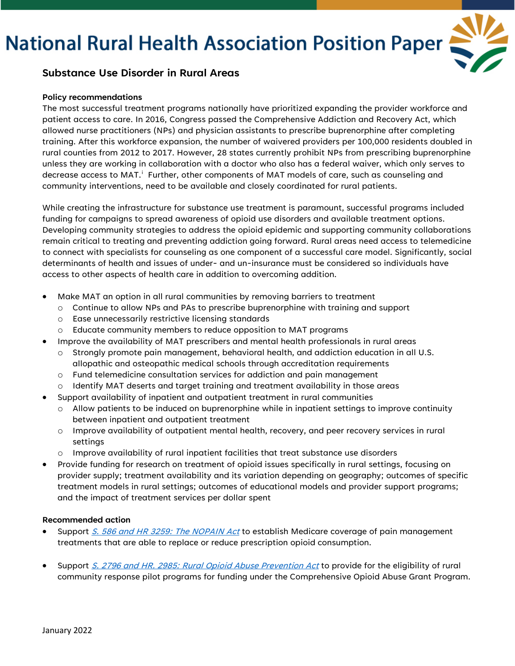# **National Rural Health Association Position Paper**



### **Substance Use Disorder in Rural Areas**

#### **Policy recommendations**

The most successful treatment programs nationally have prioritized expanding the provider workforce and patient access to care. In 2016, Congress passed the Comprehensive Addiction and Recovery Act, which allowed nurse practitioners (NPs) and physician assistants to prescribe buprenorphine after completing training. After this workforce expansion, the number of waivered providers per 100,000 residents doubled in rural counties from 2012 to 2017. However, 28 states currently prohibit NPs from prescribing buprenorphine unless they are working in collaboration with a doctor who also has a federal waiver, which only serves to decrease access to MAT. $^\mathrm{i}\,$  Further, other components of MAT models of care, such as counseling and community interventions, need to be available and closely coordinated for rural patients.

While creating the infrastructure for substance use treatment is paramount, successful programs included funding for campaigns to spread awareness of opioid use disorders and available treatment options. Developing community strategies to address the opioid epidemic and supporting community collaborations remain critical to treating and preventing addiction going forward. Rural areas need access to telemedicine to connect with specialists for counseling as one component of a successful care model. Significantly, social determinants of health and issues of under- and un-insurance must be considered so individuals have access to other aspects of health care in addition to overcoming addition.

- Make MAT an option in all rural communities by removing barriers to treatment
	- o Continue to allow NPs and PAs to prescribe buprenorphine with training and support
	- o Ease unnecessarily restrictive licensing standards
	- o Educate community members to reduce opposition to MAT programs
- Improve the availability of MAT prescribers and mental health professionals in rural areas
	- $\circ$  Strongly promote pain management, behavioral health, and addiction education in all U.S. allopathic and osteopathic medical schools through accreditation requirements
	- $\circ$  Fund telemedicine consultation services for addiction and pain management
	- $\circ$  Identify MAT deserts and target training and treatment availability in those areas
- Support availability of inpatient and outpatient treatment in rural communities
	- $\circ$  Allow patients to be induced on buprenorphine while in inpatient settings to improve continuity between inpatient and outpatient treatment
	- o Improve availability of outpatient mental health, recovery, and peer recovery services in rural settings
	- o Improve availability of rural inpatient facilities that treat substance use disorders
- Provide funding for research on treatment of opioid issues specifically in rural settings, focusing on provider supply; treatment availability and its variation depending on geography; outcomes of specific treatment models in rural settings; outcomes of educational models and provider support programs; and the impact of treatment services per dollar spent

#### **Recommended action**

- Support S. 586 and HR 3259: The [NOPAIN Act](https://www.congress.gov/bill/117th-congress/senate-bill/586) to establish Medicare coverage of pain management treatments that are able to replace or reduce prescription opioid consumption.
- Support S. 2796 [and HR. 2985: Rural Opioid Abuse Prevention Act](https://www.congress.gov/bill/117th-congress/senate-bill/2796) to provide for the eligibility of rural community response pilot programs for funding under the Comprehensive Opioid Abuse Grant Program.